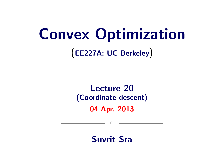# Convex Optimization

(EE227A: UC Berkeley)

# Lecture 20 (Coordinate descent)

04 Apr, 2013

 $\circ$ 

Suvrit Sra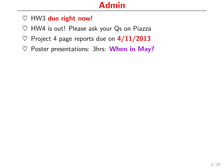# Admin

- $\heartsuit$  HW3 due right now!
- $\heartsuit$  HW4 is out! Please ask your Qs on Piazza
- $\heartsuit$  Project 4 page reports due on  $4/11/2013$
- $\heartsuit$  Poster presentations: 3hrs: When in May?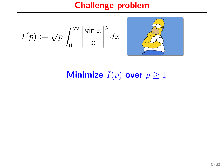# Challenge problem

$$
I(p) := \sqrt{p} \int_0^\infty \left| \frac{\sin x}{x} \right|^p dx
$$

Minimize  $I(p)$  over  $p \geq 1$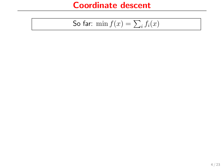So far: 
$$
\min f(x) = \sum_i f_i(x)
$$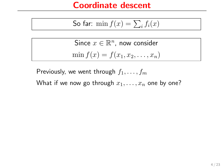So far: 
$$
\min f(x) = \sum_i f_i(x)
$$

Since 
$$
x \in \mathbb{R}^n
$$
, now consider  
min  $f(x) = f(x_1, x_2, ..., x_n)$ 

Previously, we went through  $f_1, \ldots, f_m$ 

What if we now go through  $x_1, \ldots, x_n$  one by one?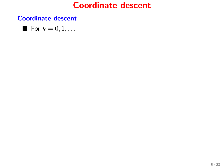For 
$$
k = 0, 1, \ldots
$$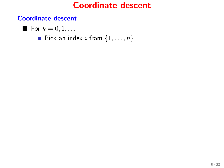$$
\blacksquare
$$
 For  $k = 0, 1, \ldots$ 

Pick an index i from  $\{1, \ldots, n\}$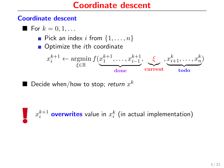\n- For 
$$
k = 0, 1, \ldots
$$
\n- Pick an index  $i$  from  $\{1, \ldots, n\}$
\n- Optimize the  $i$ th coordinate
\n- $x_i^{k+1} \leftarrow \operatorname*{argmin}_{\xi \in \mathbb{R}} f(\underbrace{x_1^{k+1}, \ldots, x_{i-1}^{k+1}}_{\text{done}}, \underbrace{\xi}_{\text{current}}, \underbrace{x_{i+1}^k, \ldots, x_n^k}_{\text{todo}})$
\n

 $\blacksquare$  Decide when/how to stop; *return*  $x^k$ 

 $x_i^{k+1}$  overwrites value in  $x_i^{k}$  (in actual implementation)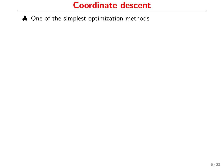♣ One of the simplest optimization methods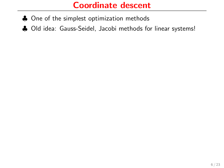- ♣ One of the simplest optimization methods
- ♣ Old idea: Gauss-Seidel, Jacobi methods for linear systems!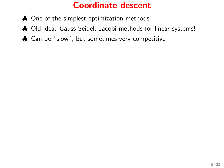- ♣ One of the simplest optimization methods
- ♣ Old idea: Gauss-Seidel, Jacobi methods for linear systems!
- ♣ Can be "slow", but sometimes very competitive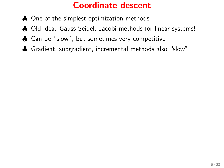- ♣ One of the simplest optimization methods
- ♣ Old idea: Gauss-Seidel, Jacobi methods for linear systems!
- ♣ Can be "slow", but sometimes very competitive
- ♣ Gradient, subgradient, incremental methods also "slow"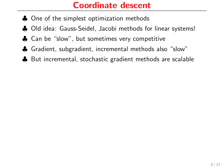- ♣ One of the simplest optimization methods
- ♣ Old idea: Gauss-Seidel, Jacobi methods for linear systems!
- ♣ Can be "slow", but sometimes very competitive
- ♣ Gradient, subgradient, incremental methods also "slow"
- ♣ But incremental, stochastic gradient methods are scalable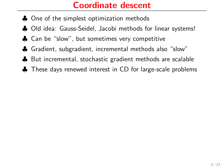- ♣ One of the simplest optimization methods
- ♣ Old idea: Gauss-Seidel, Jacobi methods for linear systems!
- ♣ Can be "slow", but sometimes very competitive
- ♣ Gradient, subgradient, incremental methods also "slow"
- ♣ But incremental, stochastic gradient methods are scalable
- ♣ These days renewed interest in CD for large-scale problems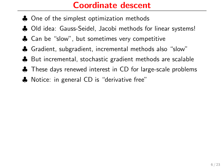- ♣ One of the simplest optimization methods
- ♣ Old idea: Gauss-Seidel, Jacobi methods for linear systems!
- ♣ Can be "slow", but sometimes very competitive
- ♣ Gradient, subgradient, incremental methods also "slow"
- ♣ But incremental, stochastic gradient methods are scalable
- ♣ These days renewed interest in CD for large-scale problems
- ♣ Notice: in general CD is "derivative free"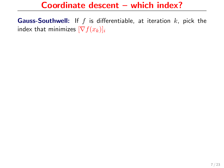**Gauss-Southwell:** If  $f$  is differentiable, at iteration  $k$ , pick the index that minimizes  $[\nabla f(x_k)]_i$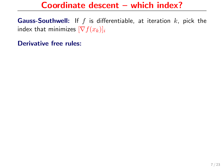**Gauss-Southwell:** If  $f$  is differentiable, at iteration  $k$ , pick the index that minimizes  $[\nabla f(x_k)]_i$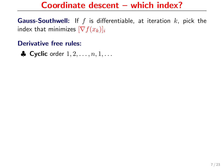**Gauss-Southwell:** If  $f$  is differentiable, at iteration  $k$ , pick the index that minimizes  $[\nabla f(x_k)]_i$ 

#### Derivative free rules:

 $\clubsuit$  Cyclic order  $1, 2, \ldots, n, 1, \ldots$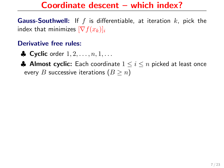**Gauss-Southwell:** If f is differentiable, at iteration  $k$ , pick the index that minimizes  $[\nabla f(x_k)]_i$ 

- $\bullet$  Cyclic order  $1, 2, \ldots, n, 1, \ldots$
- A Almost cyclic: Each coordinate  $1 \leq i \leq n$  picked at least once every B successive iterations  $(B \ge n)$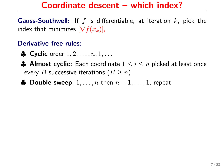**Gauss-Southwell:** If f is differentiable, at iteration  $k$ , pick the index that minimizes  $[\nabla f(x_k)]_i$ 

- $\bullet$  Cyclic order  $1, 2, \ldots, n, 1, \ldots$
- **♦ Almost cyclic:** Each coordinate  $1 \leq i \leq n$  picked at least once every B successive iterations  $(B \geq n)$
- **A** Double sweep,  $1, \ldots, n$  then  $n-1, \ldots, 1$ , repeat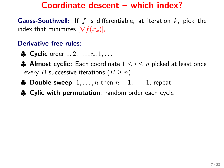**Gauss-Southwell:** If f is differentiable, at iteration  $k$ , pick the index that minimizes  $[\nabla f(x_k)]_i$ 

- $\bullet$  Cyclic order  $1, 2, \ldots, n, 1, \ldots$
- ♣ Almost cyclic: Each coordinate  $1 \leq i \leq n$  picked at least once every B successive iterations  $(B \geq n)$
- **A** Double sweep,  $1, \ldots, n$  then  $n-1, \ldots, 1$ , repeat
- ♣ Cylic with permutation: random order each cycle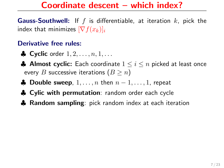**Gauss-Southwell:** If f is differentiable, at iteration  $k$ , pick the index that minimizes  $[\nabla f(x_k)]_i$ 

- $\bullet$  Cyclic order  $1, 2, \ldots, n, 1, \ldots$
- ♣ Almost cyclic: Each coordinate  $1 \leq i \leq n$  picked at least once every B successive iterations  $(B \geq n)$
- **A** Double sweep,  $1, \ldots, n$  then  $n-1, \ldots, 1$ , repeat
- ♣ Cylic with permutation: random order each cycle
- ♣ Random sampling: pick random index at each iteration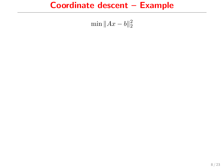# Coordinate descent – Example

$$
\min \|Ax - b\|_2^2
$$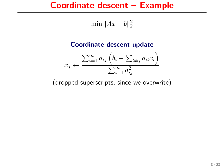# Coordinate descent – Example

$$
\min \|Ax - b\|_2^2
$$

#### Coordinate descent update

$$
x_j \leftarrow \frac{\sum_{i=1}^m a_{ij} \left( b_i - \sum_{l \neq j} a_{il} x_l \right)}{\sum_{i=1}^m a_{ij}^2}
$$

(dropped superscripts, since we overwrite)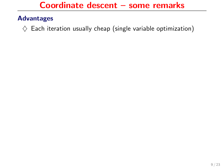#### Advantages

 $\diamondsuit$  Each iteration usually cheap (single variable optimization)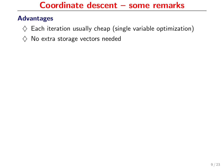- $\diamondsuit$  Each iteration usually cheap (single variable optimization)
- $\diamondsuit$  No extra storage vectors needed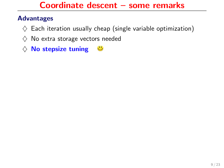- $\diamondsuit$  Each iteration usually cheap (single variable optimization)
- $\diamondsuit$  No extra storage vectors needed
- $\diamondsuit$  No stepsize tuning  $\ddot{\bullet}$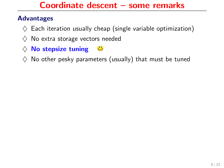- $\diamondsuit$  Each iteration usually cheap (single variable optimization)
- $\Diamond$  No extra storage vectors needed
- $\diamondsuit$  No stepsize tuning  $\ddot{\mathbf{C}}$
- $\Diamond$  No other pesky parameters (usually) that must be tuned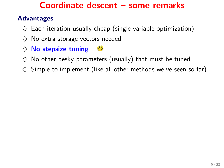- $\diamondsuit$  Each iteration usually cheap (single variable optimization)
- $\Diamond$  No extra storage vectors needed
- $\diamondsuit$  No stepsize tuning  $\mathbf{\ddot{\cup}}$
- $\diamondsuit$  No other pesky parameters (usually) that must be tuned
- $\diamondsuit$  Simple to implement (like all other methods we've seen so far)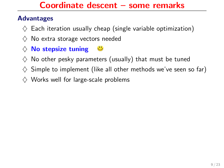- $\diamondsuit$  Each iteration usually cheap (single variable optimization)
- $\Diamond$  No extra storage vectors needed
- $\diamondsuit$  No stepsize tuning
- $\diamondsuit$  No other pesky parameters (usually) that must be tuned
- $\diamondsuit$  Simple to implement (like all other methods we've seen so far)
- $\diamondsuit$  Works well for large-scale problems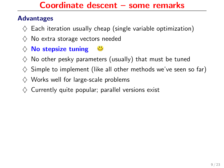- $\diamondsuit$  Each iteration usually cheap (single variable optimization)
- $\diamondsuit$  No extra storage vectors needed
- $\diamondsuit$  No stepsize tuning
- $\diamondsuit$  No other pesky parameters (usually) that must be tuned
- $\diamondsuit$  Simple to implement (like all other methods we've seen so far)
- $\diamondsuit$  Works well for large-scale problems
- $\diamondsuit$  Currently quite popular; parallel versions exist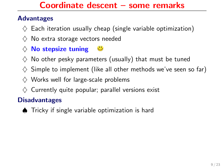#### Advantages

- $\Diamond$  Each iteration usually cheap (single variable optimization)
- $\Diamond$  No extra storage vectors needed
- $\diamondsuit$  No stepsize tuning
- $\diamondsuit$  No other pesky parameters (usually) that must be tuned
- $\diamondsuit$  Simple to implement (like all other methods we've seen so far)
- $\diamondsuit$  Works well for large-scale problems
- $\diamondsuit$  Currently quite popular; parallel versions exist

#### **Disadvantages**

♠ Tricky if single variable optimization is hard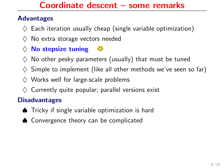#### Advantages

- $\Diamond$  Each iteration usually cheap (single variable optimization)
- $\Diamond$  No extra storage vectors needed
- $\diamondsuit$  No stepsize tuning
- $\diamondsuit$  No other pesky parameters (usually) that must be tuned
- $\diamondsuit$  Simple to implement (like all other methods we've seen so far)
- $\diamondsuit$  Works well for large-scale problems
- $\diamondsuit$  Currently quite popular; parallel versions exist

#### **Disadvantages**

- ♠ Tricky if single variable optimization is hard
- ♠ Convergence theory can be complicated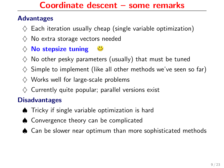#### Advantages

- $\Diamond$  Each iteration usually cheap (single variable optimization)
- $\Diamond$  No extra storage vectors needed
- $\diamondsuit$  No stepsize tuning
- $\diamondsuit$  No other pesky parameters (usually) that must be tuned
- $\diamondsuit$  Simple to implement (like all other methods we've seen so far)
- $\diamondsuit$  Works well for large-scale problems
- $\diamondsuit$  Currently quite popular; parallel versions exist

#### **Disadvantages**

- ♠ Tricky if single variable optimization is hard
- ♠ Convergence theory can be complicated
- ♠ Can be slower near optimum than more sophisticated methods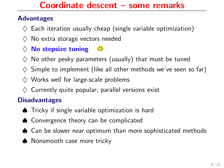#### Advantages

- $\Diamond$  Each iteration usually cheap (single variable optimization)
- $\Diamond$  No extra storage vectors needed
- $\diamondsuit$  No stepsize tuning
- $\diamondsuit$  No other pesky parameters (usually) that must be tuned
- $\diamondsuit$  Simple to implement (like all other methods we've seen so far)
- $\diamondsuit$  Works well for large-scale problems
- $\diamondsuit$  Currently quite popular; parallel versions exist

#### **Disadvantages**

- ♠ Tricky if single variable optimization is hard
- ♠ Convergence theory can be complicated
- ♠ Can be slower near optimum than more sophisticated methods
- ♠ Nonsmooth case more tricky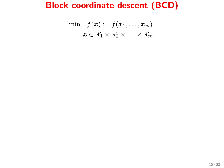# Block coordinate descent (BCD)

$$
\min f(\boldsymbol{x}) := f(\boldsymbol{x}_1, \dots, \boldsymbol{x}_m) \n\boldsymbol{x} \in \mathcal{X}_1 \times \mathcal{X}_2 \times \dots \times \mathcal{X}_m.
$$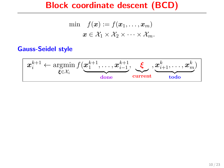### Block coordinate descent (BCD)

$$
\min f(\boldsymbol{x}) := f(\boldsymbol{x}_1, \dots, \boldsymbol{x}_m) \n\boldsymbol{x} \in \mathcal{X}_1 \times \mathcal{X}_2 \times \dots \times \mathcal{X}_m.
$$

#### Gauss-Seidel style

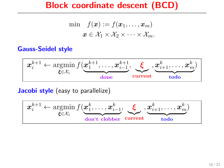### Block coordinate descent (BCD)

$$
\min f(\boldsymbol{x}) := f(\boldsymbol{x}_1, \dots, \boldsymbol{x}_m) \n\boldsymbol{x} \in \mathcal{X}_1 \times \mathcal{X}_2 \times \dots \times \mathcal{X}_m.
$$

#### Gauss-Seidel style



Jacobi style (easy to parallelize)

$$
\mathbf{x}_{i}^{k+1} \leftarrow \operatorname*{argmin}_{\xi \in \mathcal{X}_{i}} f(\underbrace{\mathbf{x}_{1}^{k}, \ldots, \mathbf{x}_{i-1}^{k}}_{\text{don't clobber}}, \underbrace{\xi}_{\text{current}}, \underbrace{\mathbf{x}_{i+1}^{k}, \ldots, \mathbf{x}_{m}^{k}}_{\text{todo}})
$$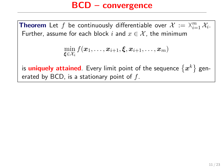### BCD – convergence

**Theorem** Let f be continuously differentiable over  $\mathcal{X} := \mathbb{X}_{i=1}^m \mathcal{X}_i$ .<br>Further, assume for each block i and  $x \in \mathcal{X}$  the minimum Further, assume for each block i and  $x \in \mathcal{X}$ , the minimum

$$
\min_{\boldsymbol{\xi} \in \mathcal{X}_i} f(\boldsymbol{x}_1,\dots,\boldsymbol{x}_{i+1},\boldsymbol{\xi},\boldsymbol{x}_{i+1},\dots,\boldsymbol{x}_m)
$$

is  $\textsf{uniquely attained}$ . Every limit point of the sequence  $\{x^k\}$  generated by BCD, is a stationary point of  $f$ .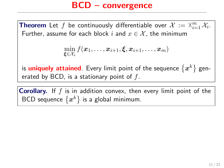### BCD – convergence

**Theorem** Let f be continuously differentiable over  $\mathcal{X} := \mathbb{X}_{i=1}^m \mathcal{X}_i$ .<br>Further, assume for each block i and  $x \in \mathcal{X}$  the minimum Further, assume for each block i and  $x \in \mathcal{X}$ , the minimum

$$
\min_{\boldsymbol{\xi} \in \mathcal{X}_i} f(\boldsymbol{x}_1,\dots,\boldsymbol{x}_{i+1},\boldsymbol{\xi},\boldsymbol{x}_{i+1},\dots,\boldsymbol{x}_m)
$$

is  $\textsf{uniquely attained}$ . Every limit point of the sequence  $\{x^k\}$  generated by BCD, is a stationary point of  $f$ .

**Corollary.** If  $f$  is in addition convex, then every limit point of the BCD sequence  $\{x^k\}$  is a global minimum.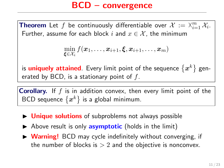### BCD – convergence

**Theorem** Let f be continuously differentiable over  $\mathcal{X} := \mathbb{X}_{i=1}^m \mathcal{X}_i$ .<br>Further, assume for each block i and  $x \in \mathcal{X}$  the minimum Further, assume for each block i and  $x \in \mathcal{X}$ , the minimum

$$
\min_{\boldsymbol{\xi} \in \mathcal{X}_i} f(\boldsymbol{x}_1,\ldots,\boldsymbol{x}_{i+1},\boldsymbol{\xi},\boldsymbol{x}_{i+1},\ldots,\boldsymbol{x}_m)
$$

is  $\textsf{uniquely attained}$ . Every limit point of the sequence  $\{x^k\}$  generated by BCD, is a stationary point of  $f$ .

**Corollary.** If  $f$  is in addition convex, then every limit point of the BCD sequence  $\{x^k\}$  is a global minimum.

- $\triangleright$  Unique solutions of subproblems not always possible
- $\triangleright$  Above result is only **asymptotic** (holds in the limit)
- ▶ Warning! BCD may cycle indefinitely without converging, if the number of blocks is  $> 2$  and the objective is nonconvex.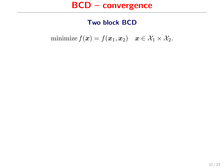#### Two block BCD

minimize  $f(\boldsymbol{x}) = f(\boldsymbol{x}_1, \boldsymbol{x}_2) \quad \boldsymbol{x} \in \mathcal{X}_1 \times \mathcal{X}_2$ .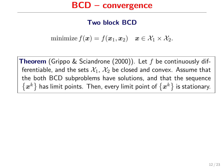#### Two block BCD

minimize  $f(x) = f(x_1, x_2)$   $x \in \mathcal{X}_1 \times \mathcal{X}_2$ .

**Theorem** (Grippo & Sciandrone (2000)). Let f be continuously differentiable, and the sets  $\mathcal{X}_1$ ,  $\mathcal{X}_2$  be closed and convex. Assume that the both BCD subproblems have solutions, and that the sequence  $\{x^k\}$  has limit points. Then, every limit point of  $\{x^k\}$  is stationary.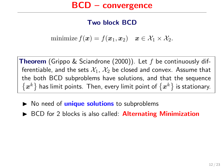#### Two block BCD

minimize  $f(x) = f(x_1, x_2)$   $x \in \mathcal{X}_1 \times \mathcal{X}_2$ .

**Theorem** (Grippo & Sciandrone (2000)). Let f be continuously differentiable, and the sets  $\mathcal{X}_1$ ,  $\mathcal{X}_2$  be closed and convex. Assume that the both BCD subproblems have solutions, and that the sequence  $\{x^k\}$  has limit points. Then, every limit point of  $\{x^k\}$  is stationary.

- $\triangleright$  No need of **unique solutions** to subproblems
- $\triangleright$  BCD for 2 blocks is also called: **Alternating Minimization**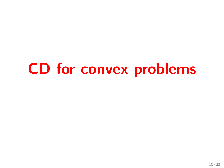# CD for convex problems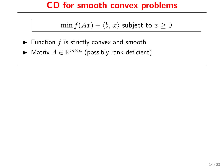### CD for smooth convex problems

### $\min f(Ax) + \langle b, x \rangle$  subject to  $x \ge 0$

- $\blacktriangleright$  Function f is strictly convex and smooth
- ► Matrix  $A \in \mathbb{R}^{m \times n}$  (possibly rank-deficient)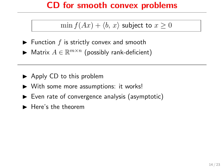### CD for smooth convex problems

### $\min f(Ax) + \langle b, x \rangle$  subject to  $x \geq 0$

- $\blacktriangleright$  Function f is strictly convex and smooth
- ► Matrix  $A \in \mathbb{R}^{m \times n}$  (possibly rank-deficient)
- $\blacktriangleright$  Apply CD to this problem
- $\triangleright$  With some more assumptions: it works!
- $\triangleright$  Even rate of convergence analysis (asymptotic)
- ► Here's the theorem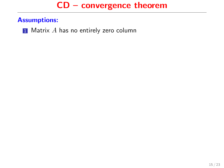#### Assumptions:

 $\blacksquare$  Matrix  $A$  has no entirely zero column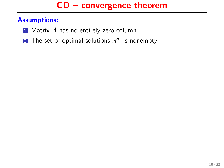- $\blacksquare$  Matrix  $A$  has no entirely zero column
- 2 The set of optimal solutions  $\mathcal{X}^*$  is nonempty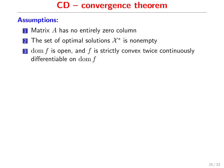- $\blacksquare$  Matrix A has no entirely zero column
- 2 The set of optimal solutions  $\mathcal{X}^*$  is nonempty
- $3$  dom f is open, and f is strictly convex twice continuously differentiable on  $\text{dom } f$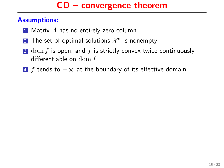- $\blacksquare$  Matrix A has no entirely zero column
- 2 The set of optimal solutions  $\mathcal{X}^*$  is nonempty
- $3$  dom f is open, and f is strictly convex twice continuously differentiable on dom f
- 4 f tends to  $+\infty$  at the boundary of its effective domain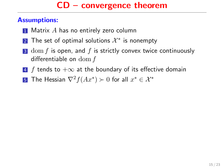- $\blacksquare$  Matrix A has no entirely zero column
- 2 The set of optimal solutions  $\mathcal{X}^*$  is nonempty
- $3$  dom f is open, and f is strictly convex twice continuously differentiable on dom f
- 4 f tends to  $+\infty$  at the boundary of its effective domain
- $\overline{\bf 5}$  The Hessian  $\nabla^2 f(Ax^*) \succ 0$  for all  $x^* \in \mathcal{X}^*$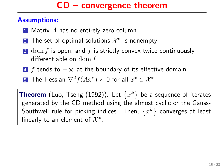#### Assumptions:

- $\blacksquare$  Matrix A has no entirely zero column
- 2 The set of optimal solutions  $\mathcal{X}^*$  is nonempty
- $3$  dom f is open, and f is strictly convex twice continuously differentiable on dom f
- 4 f tends to  $+\infty$  at the boundary of its effective domain
- $\overline{\bf 5}$  The Hessian  $\nabla^2 f(Ax^*) \succ 0$  for all  $x^* \in \mathcal{X}^*$

<code>Theorem</code> (Luo, <code>Tseng</code> (1992)). Let  $\{x^k\}$  be a sequence of iterates generated by the CD method using the almost cyclic or the Gauss-Southwell rule for picking indices. Then,  $\{x^k\}$  converges at least linearly to an element of  $\mathcal{X}^*$ .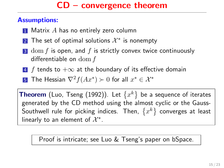#### Assumptions:

- $\blacksquare$  Matrix A has no entirely zero column
- 2 The set of optimal solutions  $\mathcal{X}^*$  is nonempty
- $3$  dom f is open, and f is strictly convex twice continuously differentiable on dom f
- 4 f tends to  $+\infty$  at the boundary of its effective domain
- $\overline{\bf 5}$  The Hessian  $\nabla^2 f(Ax^*) \succ 0$  for all  $x^* \in \mathcal{X}^*$

<code>Theorem</code> (Luo, <code>Tseng</code> (1992)). Let  $\{x^k\}$  be a sequence of iterates generated by the CD method using the almost cyclic or the Gauss-Southwell rule for picking indices. Then,  $\{x^k\}$  converges at least linearly to an element of  $\mathcal{X}^*$ .

Proof is intricate; see Luo & Tseng's paper on bSpace.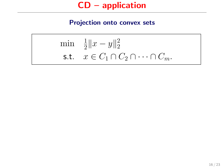$$
\begin{array}{ll}\n\min & \frac{1}{2} \|x - y\|_2^2 \\
\text{s.t.} & x \in C_1 \cap C_2 \cap \dots \cap C_m.\n\end{array}
$$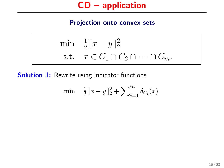$$
\begin{array}{ll}\n\min & \frac{1}{2} \|x - y\|_2^2\\ \n\text{s.t.} & x \in C_1 \cap C_2 \cap \dots \cap C_m.\n\end{array}
$$

**Solution 1:** Rewrite using indicator functions

$$
\min \quad \frac{1}{2} \|x - y\|_2^2 + \sum_{i=1}^m \delta_{C_i}(x).
$$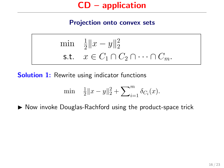$$
\begin{array}{ll}\n\min & \frac{1}{2} \|x - y\|_2^2\\ \n\text{s.t.} & x \in C_1 \cap C_2 \cap \dots \cap C_m.\n\end{array}
$$

**Solution 1:** Rewrite using indicator functions

$$
\min \quad \tfrac{1}{2} \|x-y\|_2^2 + \sum\nolimits_{i=1}^m \delta_{C_i}(x).
$$

 $\triangleright$  Now invoke Douglas-Rachford using the product-space trick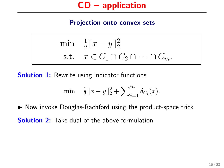$$
\begin{array}{ll}\n\min & \frac{1}{2} \|x - y\|_2^2\\ \n\text{s.t.} & x \in C_1 \cap C_2 \cap \dots \cap C_m.\n\end{array}
$$

**Solution 1:** Rewrite using indicator functions

$$
\min \quad \frac{1}{2} \|x - y\|_2^2 + \sum_{i=1}^m \delta_{C_i}(x).
$$

 $\triangleright$  Now invoke Douglas-Rachford using the product-space trick

Solution 2: Take dual of the above formulation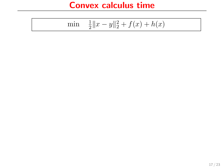### Convex calculus time

$$
\min \quad \frac{1}{2} \|x - y\|_2^2 + f(x) + h(x)
$$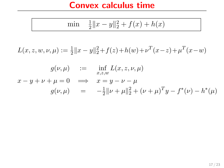#### Convex calculus time

$$
\min \quad \frac{1}{2} \|x - y\|_2^2 + f(x) + h(x)
$$

 $L(x, z, w, \nu, \mu) := \frac{1}{2} ||x - y||_2^2 + f(z) + h(w) + \nu^T (x - z) + \mu^T (x - w)$ 

$$
g(\nu, \mu) := \inf_{x,z,w} L(x, z, \nu, \mu)
$$
  

$$
x - y + \nu + \mu = 0 \implies x = y - \nu - \mu
$$
  

$$
g(\nu, \mu) = -\frac{1}{2} ||\nu + \mu||_2^2 + (\nu + \mu)^T y - f^*(\nu) - h^*(\mu)
$$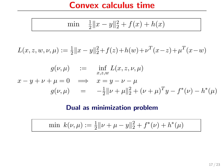#### Convex calculus time

$$
\min \quad \frac{1}{2} \|x - y\|_2^2 + f(x) + h(x)
$$

 $L(x, z, w, \nu, \mu) := \frac{1}{2} ||x - y||_2^2 + f(z) + h(w) + \nu^T (x - z) + \mu^T (x - w)$ 

$$
g(\nu, \mu) := \inf_{x,z,w} L(x, z, \nu, \mu)
$$
  

$$
x - y + \nu + \mu = 0 \implies x = y - \nu - \mu
$$
  

$$
g(\nu, \mu) = -\frac{1}{2} ||\nu + \mu||_2^2 + (\nu + \mu)^T y - f^*(\nu) - h^*(\mu)
$$

#### Dual as minimization problem

$$
\min k(\nu, \mu) := \frac{1}{2} ||\nu + \mu - y||_2^2 + f^*(\nu) + h^*(\mu)
$$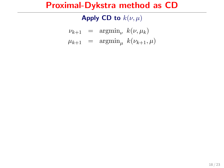Apply CD to  $k(\nu, \mu)$ 

 $\nu_{k+1}$  =  $\operatorname{argmin}_{\nu} k(\nu, \mu_k)$  $\mu_{k+1}$  =  $\operatorname{argmin}_{\mu} k(\nu_{k+1}, \mu)$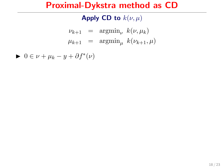Apply CD to  $k(\nu, \mu)$ 

$$
\begin{array}{rcl}\n\nu_{k+1} & = & \text{argmin}_{\nu} \ k(\nu, \mu_k) \\
\mu_{k+1} & = & \text{argmin}_{\mu} \ k(\nu_{k+1}, \mu)\n\end{array}
$$

 $\blacktriangleright$   $0 \in \nu + \mu_k - y + \partial f^*(\nu)$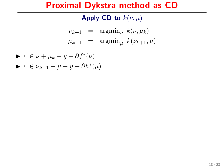Apply CD to  $k(\nu, \mu)$ 

 $\nu_{k+1}$  =  $\operatorname{argmin}_{\nu} k(\nu, \mu_k)$  $\mu_{k+1}$  =  $\operatorname{argmin}_{\mu} k(\nu_{k+1}, \mu)$ 

$$
\blacktriangleright \ 0\in \nu + \mu_k - y + \partial f^*(\nu)
$$

$$
\blacktriangleright \ 0\in \nu_{k+1}+\mu-y+\partial h^*(\mu)
$$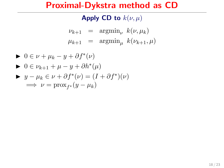Apply CD to  $k(\nu, \mu)$ 

$$
\begin{array}{rcl}\n\nu_{k+1} & = & \text{argmin}_{\nu} \ k(\nu, \mu_k) \\
\mu_{k+1} & = & \text{argmin}_{\mu} \ k(\nu_{k+1}, \mu)\n\end{array}
$$

$$
\begin{aligned}\n\blacktriangleright & 0 \in \nu + \mu_k - y + \partial f^*(\nu) \\
\blacktriangleright & 0 \in \nu_{k+1} + \mu - y + \partial h^*(\mu) \\
\blacktriangleright & y - \mu_k \in \nu + \partial f^*(\nu) = (I + \partial f^*)(\nu) \\
\implies & \nu = \text{prox}_{f^*}(y - \mu_k)\n\end{aligned}
$$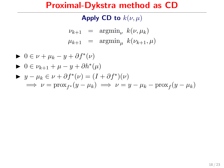Apply CD to  $k(\nu, \mu)$ 

$$
\begin{array}{rcl}\n\nu_{k+1} & = & \text{argmin}_{\nu} \ k(\nu, \mu_k) \\
\mu_{k+1} & = & \text{argmin}_{\mu} \ k(\nu_{k+1}, \mu)\n\end{array}
$$

$$
0 \in \nu + \mu_k - y + \partial f^*(\nu)
$$
  
\n
$$
0 \in \nu_{k+1} + \mu - y + \partial h^*(\mu)
$$
  
\n
$$
y - \mu_k \in \nu + \partial f^*(\nu) = (I + \partial f^*)(\nu)
$$
  
\n
$$
\implies \nu = \text{prox}_{f^*}(y - \mu_k) \implies \nu = y - \mu_k - \text{prox}_{f}(y - \mu_k)
$$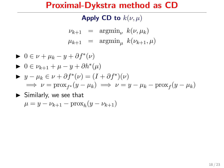Apply CD to  $k(\nu, \mu)$ 

$$
\begin{array}{rcl}\n\nu_{k+1} & = & \text{argmin}_{\nu} \ k(\nu, \mu_k) \\
\mu_{k+1} & = & \text{argmin}_{\mu} \ k(\nu_{k+1}, \mu)\n\end{array}
$$

 $\blacktriangleright$   $0 \in \nu + \mu_k - y + \partial f^*(\nu)$  $\blacktriangleright$  0  $\in \nu_{k+1} + \mu - y + \partial h^*(\mu)$  $\blacktriangleright$   $y - \mu_k \in \nu + \partial f^*(\nu) = (I + \partial f^*)(\nu)$  $\implies \nu = \text{prox}_{f^*}(y - \mu_k) \implies \nu = y - \mu_k - \text{prox}_{f}(y - \mu_k)$ 

► Similarly, we see that  

$$
\mu = y - \nu_{k+1} - \text{prox}_h(y - \nu_{k+1})
$$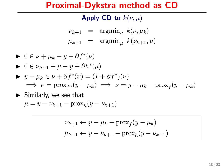Apply CD to  $k(\nu, \mu)$ 

$$
\begin{array}{rcl}\n\nu_{k+1} & = & \text{argmin}_{\nu} \ k(\nu, \mu_k) \\
\mu_{k+1} & = & \text{argmin}_{\mu} \ k(\nu_{k+1}, \mu)\n\end{array}
$$

$$
0 \in \nu + \mu_k - y + \partial f^*(\nu)
$$
  
\n
$$
0 \in \nu_{k+1} + \mu - y + \partial h^*(\mu)
$$
  
\n
$$
y - \mu_k \in \nu + \partial f^*(\nu) = (I + \partial f^*)(\nu)
$$
  
\n
$$
\implies \nu = \text{prox}_{f^*}(y - \mu_k) \implies \nu = y - \mu_k - \text{prox}_f(y - \mu_k)
$$

► Similarly, we see that  

$$
\mu = y - \nu_{k+1} - \text{prox}_h(y - \nu_{k+1})
$$

$$
\nu_{k+1} \leftarrow y - \mu_k - \text{prox}_f(y - \mu_k)
$$

$$
\mu_{k+1} \leftarrow y - \nu_{k+1} - \text{prox}_h(y - \nu_{k+1})
$$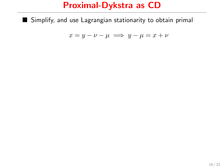### Proximal-Dykstra as CD

Simplify, and use Lagrangian stationarity to obtain primal

$$
x = y - \nu - \mu \implies y - \mu = x + \nu
$$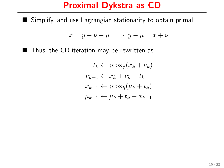### Proximal-Dykstra as CD

Simplify, and use Lagrangian stationarity to obtain primal

$$
x = y - \nu - \mu \implies y - \mu = x + \nu
$$

■ Thus, the CD iteration may be rewritten as

$$
t_k \leftarrow \text{prox}_f(x_k + \nu_k)
$$
  

$$
\nu_{k+1} \leftarrow x_k + \nu_k - t_k
$$
  

$$
x_{k+1} \leftarrow \text{prox}_h(\mu_k + t_k)
$$
  

$$
\mu_{k+1} \leftarrow \mu_k + t_k - x_{k+1}
$$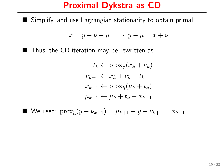### Proximal-Dykstra as CD

Simplify, and use Lagrangian stationarity to obtain primal

$$
x = y - \nu - \mu \implies y - \mu = x + \nu
$$

■ Thus, the CD iteration may be rewritten as

$$
t_k \leftarrow \text{prox}_f(x_k + \nu_k)
$$
  

$$
\nu_{k+1} \leftarrow x_k + \nu_k - t_k
$$
  

$$
x_{k+1} \leftarrow \text{prox}_h(\mu_k + t_k)
$$
  

$$
\mu_{k+1} \leftarrow \mu_k + t_k - x_{k+1}
$$

■ We used:  $\text{prox}_{h}(y - \nu_{k+1}) = \mu_{k+1} - y - \nu_{k+1} = x_{k+1}$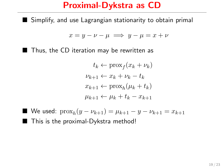## Proximal-Dykstra as CD

Simplify, and use Lagrangian stationarity to obtain primal

$$
x = y - \nu - \mu \implies y - \mu = x + \nu
$$

■ Thus, the CD iteration may be rewritten as

$$
t_k \leftarrow \text{prox}_f(x_k + \nu_k)
$$
  

$$
\nu_{k+1} \leftarrow x_k + \nu_k - t_k
$$
  

$$
x_{k+1} \leftarrow \text{prox}_h(\mu_k + t_k)
$$
  

$$
\mu_{k+1} \leftarrow \mu_k + t_k - x_{k+1}
$$

■ We used:  $\text{prox}_{h}(y - \nu_{k+1}) = \mu_{k+1} - y - \nu_{k+1} = x_{k+1}$ ■ This is the proximal-Dykstra method!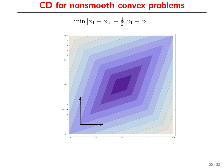## CD for nonsmooth convex problems

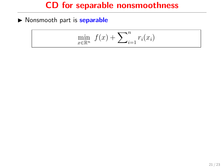### CD for separable nonsmoothness

 $\triangleright$  Nonsmooth part is **separable** 

$$
\min_{x \in \mathbb{R}^n} f(x) + \sum_{i=1}^n r_i(x_i)
$$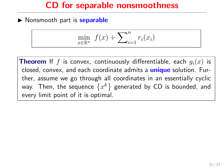#### CD for separable nonsmoothness

 $\triangleright$  Nonsmooth part is **separable** 

$$
\min_{x \in \mathbb{R}^n} f(x) + \sum_{i=1}^n r_i(x_i)
$$

**Theorem** If f is convex, continuously differentiable, each  $q_i(x)$  is closed, convex, and each coordinate admits a **unique** solution. Further, assume we go through all coordinates in an essentially cyclic way. Then, the sequence  $\{x^k\}$  generated by CD is bounded, and every limit point of it is optimal.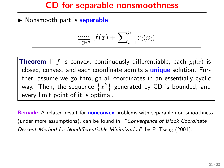#### CD for separable nonsmoothness

 $\triangleright$  Nonsmooth part is **separable** 

$$
\min_{x \in \mathbb{R}^n} f(x) + \sum_{i=1}^n r_i(x_i)
$$

**Theorem** If f is convex, continuously differentiable, each  $q_i(x)$  is closed, convex, and each coordinate admits a **unique** solution. Further, assume we go through all coordinates in an essentially cyclic way. Then, the sequence  $\{x^k\}$  generated by CD is bounded, and every limit point of it is optimal.

Remark: A related result for **nonconvex** problems with separable non-smoothness (under more assumptions), can be found in: "Convergence of Block Coordinate Descent Method for Nondifferentiable Minimization" by P. Tseng (2001).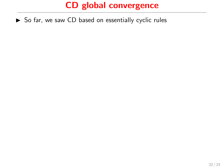$\triangleright$  So far, we saw CD based on essentially cyclic rules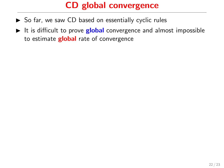- $\triangleright$  So far, we saw CD based on essentially cyclic rules
- It is difficult to prove **global** convergence and almost impossible to estimate **global** rate of convergence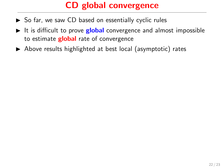- $\triangleright$  So far, we saw CD based on essentially cyclic rules
- It is difficult to prove **global** convergence and almost impossible to estimate **global** rate of convergence
- $\triangleright$  Above results highlighted at best local (asymptotic) rates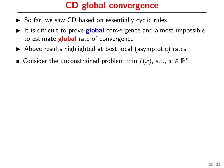- $\triangleright$  So far, we saw CD based on essentially cyclic rules
- It is difficult to prove **global** convergence and almost impossible to estimate **global** rate of convergence
- $\blacktriangleright$  Above results highlighted at best local (asymptotic) rates
- Consider the unconstrained problem  $\min f(x)$ , s.t.,  $x \in \mathbb{R}^n$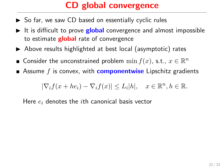- $\triangleright$  So far, we saw CD based on essentially cyclic rules
- It is difficult to prove **global** convergence and almost impossible to estimate **global** rate of convergence
- $\blacktriangleright$  Above results highlighted at best local (asymptotic) rates
- Consider the unconstrained problem  $\min f(x)$ , s.t.,  $x \in \mathbb{R}^n$
- Assume  $f$  is convex, with **componentwise** Lipschitz gradients

$$
|\nabla_i f(x + he_i) - \nabla_i f(x)| \le L_i |h|, \quad x \in \mathbb{R}^n, h \in \mathbb{R}.
$$

Here  $e_i$  denotes the *i*th canonical basis vector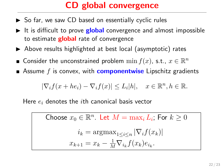- $\triangleright$  So far, we saw CD based on essentially cyclic rules
- It is difficult to prove **global** convergence and almost impossible to estimate **global** rate of convergence
- $\blacktriangleright$  Above results highlighted at best local (asymptotic) rates
- Consider the unconstrained problem  $\min f(x)$ , s.t.,  $x \in \mathbb{R}^n$
- Assume  $f$  is convex, with **componentwise** Lipschitz gradients

$$
|\nabla_i f(x + he_i) - \nabla_i f(x)| \le L_i |h|, \quad x \in \mathbb{R}^n, h \in \mathbb{R}.
$$

Here  $e_i$  denotes the *i*th canonical basis vector

Choose 
$$
x_0 \in \mathbb{R}^n
$$
. Let  $M = \max_i L_i$ ; For  $k \ge 0$   

$$
i_k = \operatorname{argmax}_{1 \le i \le n} |\nabla_i f(x_k)|
$$

$$
x_{k+1} = x_k - \frac{1}{M} \nabla_{i_k} f(x_k) e_{i_k}.
$$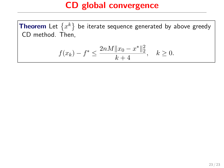$$
f(x_k) - f^* \le \frac{2nM||x_0 - x^*||_2^2}{k+4}, \quad k \ge 0.
$$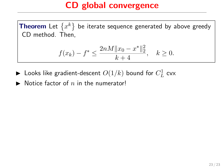$$
f(x_k) - f^* \le \frac{2nM||x_0 - x^*||_2^2}{k+4}, \quad k \ge 0.
$$

- $\blacktriangleright$  Looks like gradient-descent  $O(1/k)$  bound for  $C_L^1$  cvx
- $\blacktriangleright$  Notice factor of n in the numerator!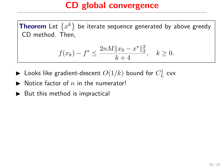$$
f(x_k) - f^* \le \frac{2nM||x_0 - x^*||_2^2}{k+4}, \quad k \ge 0.
$$

- $\blacktriangleright$  Looks like gradient-descent  $O(1/k)$  bound for  $C_L^1$  cvx
- $\blacktriangleright$  Notice factor of n in the numerator!
- $\blacktriangleright$  But this method is impractical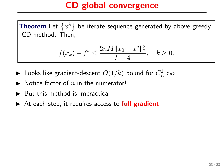$$
f(x_k) - f^* \le \frac{2nM||x_0 - x^*||_2^2}{k+4}, \quad k \ge 0.
$$

- $\blacktriangleright$  Looks like gradient-descent  $O(1/k)$  bound for  $C_L^1$  cvx
- $\blacktriangleright$  Notice factor of n in the numerator!
- $\blacktriangleright$  But this method is impractical
- $\triangleright$  At each step, it requires access to full gradient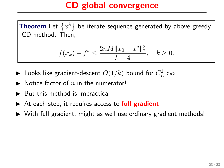$$
f(x_k) - f^* \le \frac{2nM||x_0 - x^*||_2^2}{k+4}, \quad k \ge 0.
$$

- $\blacktriangleright$  Looks like gradient-descent  $O(1/k)$  bound for  $C_L^1$  cvx
- $\blacktriangleright$  Notice factor of n in the numerator!
- $\blacktriangleright$  But this method is impractical
- $\triangleright$  At each step, it requires access to full gradient
- $\triangleright$  With full gradient, might as well use ordinary gradient methods!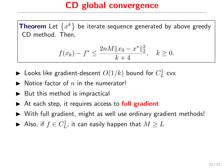$$
f(x_k) - f^* \le \frac{2nM||x_0 - x^*||_2^2}{k+4}, \quad k \ge 0.
$$

- $\blacktriangleright$  Looks like gradient-descent  $O(1/k)$  bound for  $C_L^1$  cvx
- $\blacktriangleright$  Notice factor of n in the numerator!
- $\blacktriangleright$  But this method is impractical
- $\triangleright$  At each step, it requires access to full gradient
- $\triangleright$  With full gradient, might as well use ordinary gradient methods!
- $\blacktriangleright$  Also, if  $f\in C^1_L$ , it can easily happen that  $M\geq L$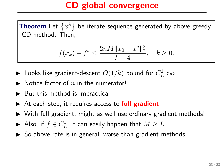$$
f(x_k) - f^* \le \frac{2nM||x_0 - x^*||_2^2}{k+4}, \quad k \ge 0.
$$

- $\blacktriangleright$  Looks like gradient-descent  $O(1/k)$  bound for  $C_L^1$  cvx
- $\blacktriangleright$  Notice factor of n in the numerator!
- $\blacktriangleright$  But this method is impractical
- $\triangleright$  At each step, it requires access to full gradient
- $\triangleright$  With full gradient, might as well use ordinary gradient methods!
- $\blacktriangleright$  Also, if  $f\in C^1_L$ , it can easily happen that  $M\geq L$
- $\triangleright$  So above rate is in general, worse than gradient methods